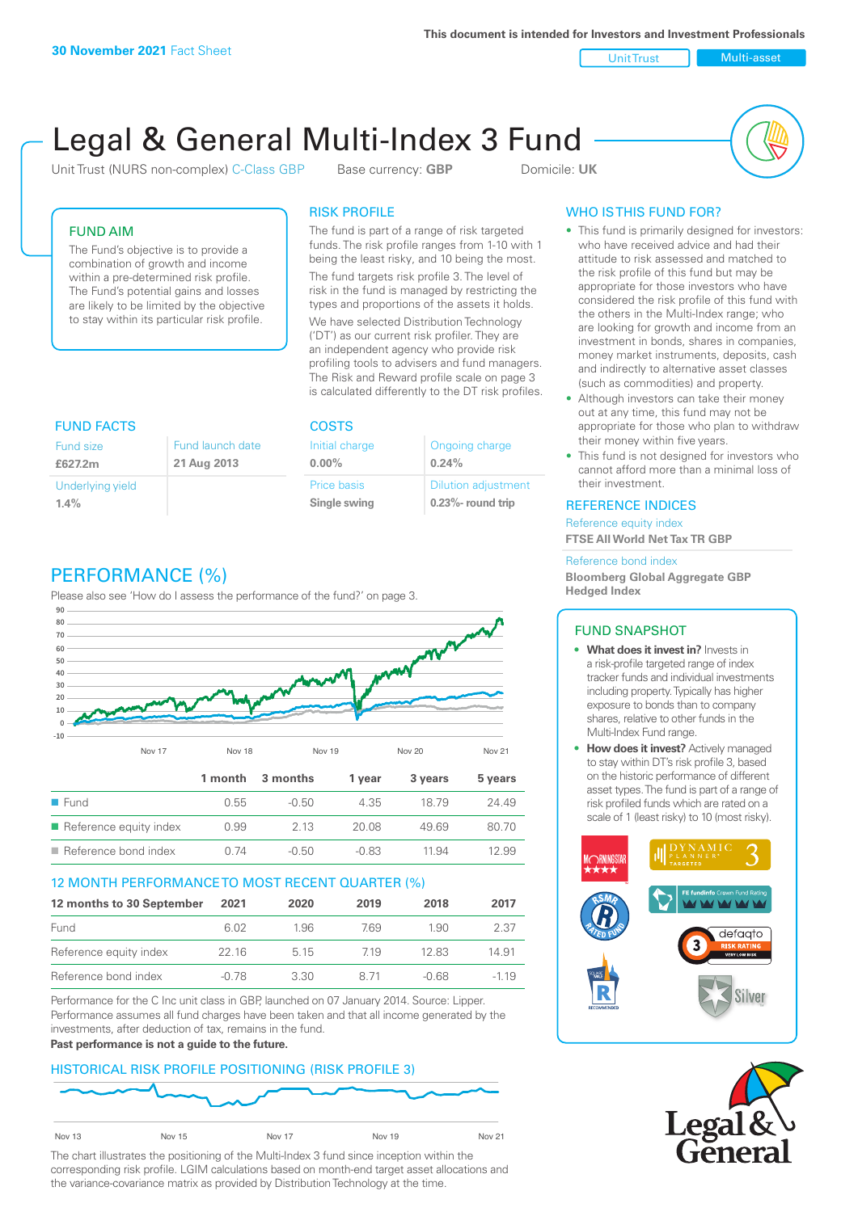**This document is intended for Investors and Investment Professionals**

Unit Trust Nulti-asset

# Legal & General Multi-Index 3 Fund

Unit Trust (NURS non-complex) C-Class GBP Base currency: **GBP** Domicile: UK



# FUND AIM

The Fund's objective is to provide a combination of growth and income within a pre-determined risk profile. The Fund's potential gains and losses are likely to be limited by the objective to stay within its particular risk profile.

## RISK PROFILE

The fund is part of a range of risk targeted funds. The risk profile ranges from 1-10 with 1 being the least risky, and 10 being the most.

The fund targets risk profile 3. The level of risk in the fund is managed by restricting the types and proportions of the assets it holds. We have selected Distribution Technology ('DT') as our current risk profiler. They are an independent agency who provide risk profiling tools to advisers and fund managers. The Risk and Reward profile scale on page 3 is calculated differently to the DT risk profiles.

| <b>FUND FACTS</b> |                  | <b>COSTS</b>   |                            |  |
|-------------------|------------------|----------------|----------------------------|--|
| Fund size         | Fund launch date | Initial charge | Ongoing charge             |  |
| £627.2m           | 21 Aug 2013      | $0.00\%$       | 0.24%                      |  |
| Underlying yield  |                  | Price basis    | <b>Dilution adjustment</b> |  |
| 1.4%              |                  | Single swing   | $0.23%$ - round trip       |  |

# PERFORMANCE (%)

Please also see 'How do I assess the performance of the fund?' on page 3.



# 12 MONTH PERFORMANCE TO MOST RECENT QUARTER (%)

| 12 months to 30 September | 2021  | 2020  | 2019 | 2018  | 2017   |
|---------------------------|-------|-------|------|-------|--------|
| Fund                      | 6.02  | 1.96. | 769  | 1.90  | 2.37   |
| Reference equity index    | 22 16 | 5 1 5 | 719  | 12.83 | 14.91  |
| Reference bond index      | -0.78 | 3.30  | 8 71 | -0.68 | $-119$ |

Performance for the C Inc unit class in GBP, launched on 07 January 2014. Source: Lipper. Performance assumes all fund charges have been taken and that all income generated by the investments, after deduction of tax, remains in the fund.

#### **Past performance is not a guide to the future.**

# HISTORICAL RISK PROFILE POSITIONING (RISK PROFILE 3)



The chart illustrates the positioning of the Multi-Index 3 fund since inception within the corresponding risk profile. LGIM calculations based on month-end target asset allocations and the variance-covariance matrix as provided by Distribution Technology at the time.

# WHO IS THIS FUND FOR?

- This fund is primarily designed for investors: who have received advice and had their attitude to risk assessed and matched to the risk profile of this fund but may be appropriate for those investors who have considered the risk profile of this fund with the others in the Multi-Index range; who are looking for growth and income from an investment in bonds, shares in companies, money market instruments, deposits, cash and indirectly to alternative asset classes (such as commodities) and property.
- Although investors can take their money out at any time, this fund may not be appropriate for those who plan to withdraw their money within five years.
- This fund is not designed for investors who cannot afford more than a minimal loss of their investment.

### REFERENCE INDICES

Reference equity index **FTSE All World Net Tax TR GBP**

#### Reference bond index

**Bloomberg Global Aggregate GBP Hedged Index**

# FUND SNAPSHOT

- **• What does it invest in?** Invests in a risk-profile targeted range of index tracker funds and individual investments including property. Typically has higher exposure to bonds than to company shares, relative to other funds in the Multi-Index Fund range.
- **• How does it invest?** Actively managed to stay within DT's risk profile 3, based on the historic performance of different asset types. The fund is part of a range of risk profiled funds which are rated on a scale of 1 (least risky) to 10 (most risky).



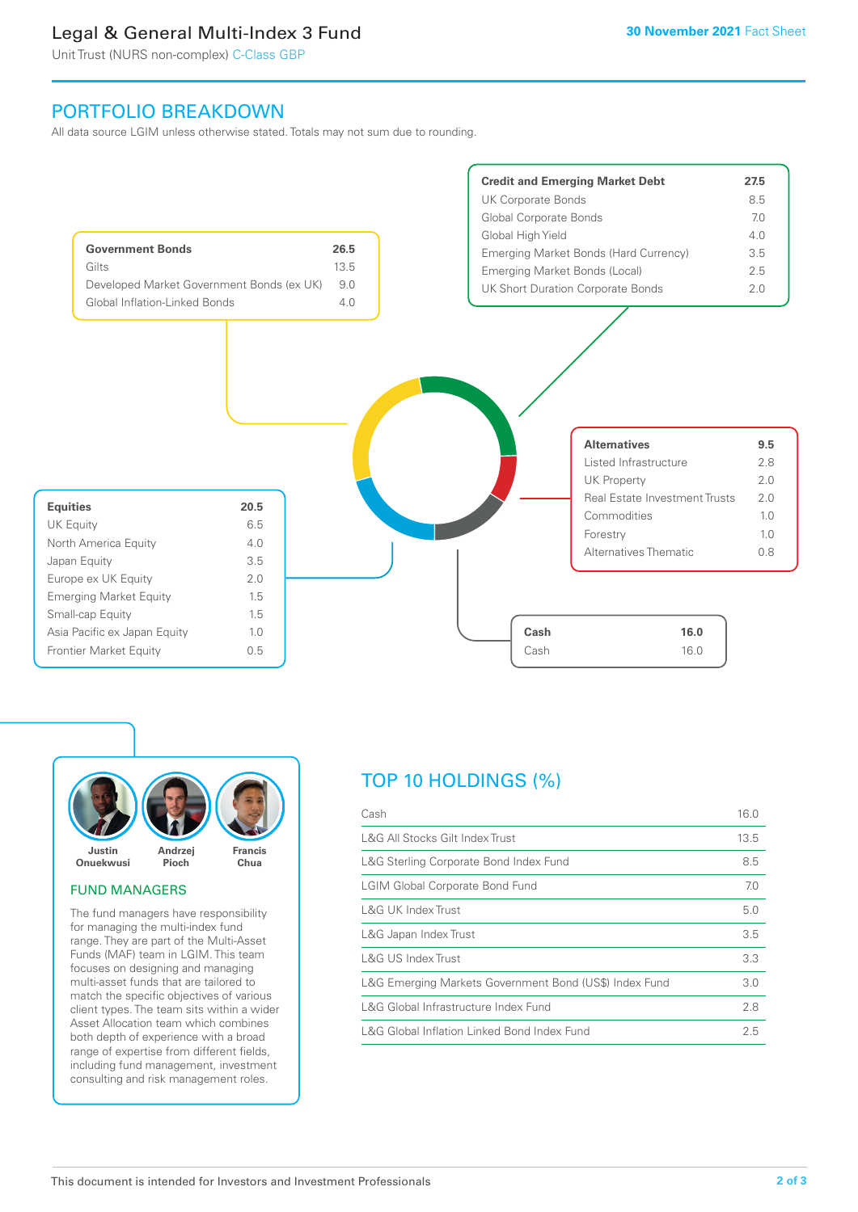# Legal & General Multi-Index 3 Fund

Unit Trust (NURS non-complex) C-Class GBP

# PORTFOLIO BREAKDOWN

All data source LGIM unless otherwise stated. Totals may not sum due to rounding.





#### FUND MANAGERS

The fund managers have responsibility for managing the multi-index fund range. They are part of the Multi-Asset Funds (MAF) team in LGIM. This team focuses on designing and managing multi-asset funds that are tailored to match the specific objectives of various client types. The team sits within a wider Asset Allocation team which combines both depth of experience with a broad range of expertise from different fields, including fund management, investment consulting and risk management roles.

# TOP 10 HOLDINGS (%)

| Cash                                                   | 16.0 |
|--------------------------------------------------------|------|
| L&G All Stocks Gilt Index Trust                        | 13.5 |
| L&G Sterling Corporate Bond Index Fund                 | 8.5  |
| <b>LGIM Global Corporate Bond Fund</b>                 | 7.0  |
| L&G UK Index Trust                                     | 5.0  |
| L&G Japan Index Trust                                  | 3.5  |
| L&G US Index Trust                                     | 3.3  |
| L&G Emerging Markets Government Bond (US\$) Index Fund | 3.0  |
| L&G Global Infrastructure Index Fund                   | 2.8  |
| L&G Global Inflation Linked Bond Index Fund            | 2.5  |